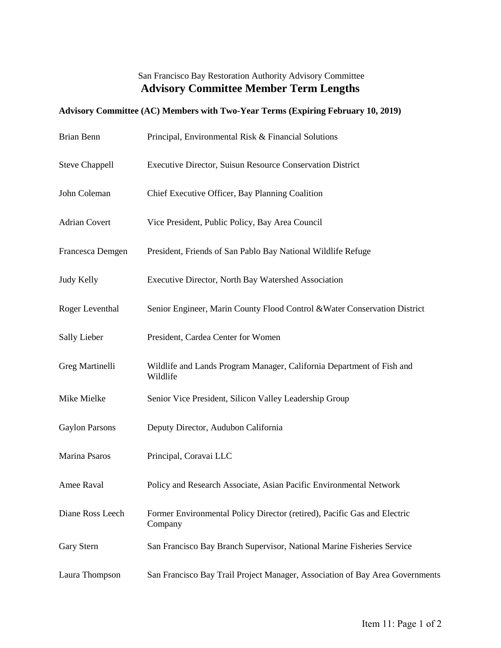## San Francisco Bay Restoration Authority Advisory Committee **Advisory Committee Member Term Lengths**

## **Advisory Committee (AC) Members with Two-Year Terms (Expiring February 10, 2019)**

| Brian Benn            | Principal, Environmental Risk & Financial Solutions                                 |
|-----------------------|-------------------------------------------------------------------------------------|
| <b>Steve Chappell</b> | Executive Director, Suisun Resource Conservation District                           |
| John Coleman          | Chief Executive Officer, Bay Planning Coalition                                     |
| <b>Adrian Covert</b>  | Vice President, Public Policy, Bay Area Council                                     |
| Francesca Demgen      | President, Friends of San Pablo Bay National Wildlife Refuge                        |
| Judy Kelly            | Executive Director, North Bay Watershed Association                                 |
| Roger Leventhal       | Senior Engineer, Marin County Flood Control & Water Conservation District           |
| Sally Lieber          | President, Cardea Center for Women                                                  |
| Greg Martinelli       | Wildlife and Lands Program Manager, California Department of Fish and<br>Wildlife   |
| Mike Mielke           | Senior Vice President, Silicon Valley Leadership Group                              |
| <b>Gaylon Parsons</b> | Deputy Director, Audubon California                                                 |
| Marina Psaros         | Principal, Coravai LLC                                                              |
| Amee Raval            | Policy and Research Associate, Asian Pacific Environmental Network                  |
| Diane Ross Leech      | Former Environmental Policy Director (retired), Pacific Gas and Electric<br>Company |
| Gary Stern            | San Francisco Bay Branch Supervisor, National Marine Fisheries Service              |
| Laura Thompson        | San Francisco Bay Trail Project Manager, Association of Bay Area Governments        |